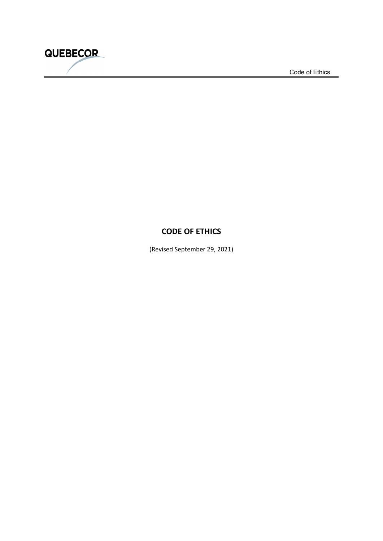

### **CODE OF ETHICS**

(Revised September 29, 2021)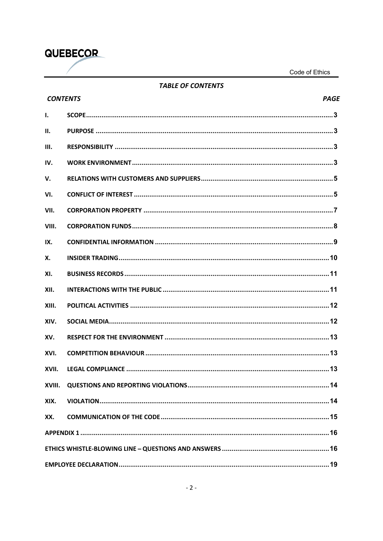

#### **TABLE OF CONTENTS**

| <b>PAGE</b><br><b>CONTENTS</b> |  |
|--------------------------------|--|
| $\mathbf{L}$                   |  |
| Н.                             |  |
| Ш.                             |  |
| IV.                            |  |
| V.                             |  |
| VI.                            |  |
| VII.                           |  |
| VIII.                          |  |
| IX.                            |  |
| Х.                             |  |
| XI.                            |  |
| XII.                           |  |
| XIII.                          |  |
| XIV.                           |  |
| XV.                            |  |
| XVI.                           |  |
| XVII.                          |  |
| XVIII.                         |  |
| XIX.                           |  |
| XX.                            |  |
|                                |  |
|                                |  |
|                                |  |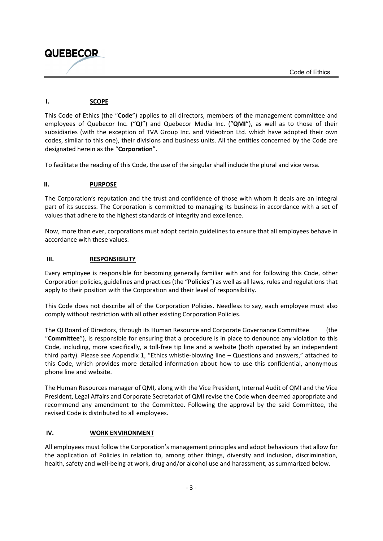

#### **I. SCOPE**

**QUEBECOR** 

This Code of Ethics (the "**Code**") applies to all directors, members of the management committee and employees of Quebecor Inc. ("**QI**") and Quebecor Media Inc. ("**QMI**"), as well as to those of their subsidiaries (with the exception of TVA Group Inc. and Videotron Ltd. which have adopted their own codes, similar to this one), their divisions and business units. All the entities concerned by the Code are designated herein as the "**Corporation**".

To facilitate the reading of this Code, the use of the singular shall include the plural and vice versa.

#### **II. PURPOSE**

The Corporation's reputation and the trust and confidence of those with whom it deals are an integral part of its success. The Corporation is committed to managing its business in accordance with a set of values that adhere to the highest standards of integrity and excellence.

Now, more than ever, corporations must adopt certain guidelines to ensure that all employees behave in accordance with these values.

#### **III. RESPONSIBILITY**

Every employee is responsible for becoming generally familiar with and for following this Code, other Corporation policies, guidelines and practices(the "**Policies**") as well as all laws, rules and regulations that apply to their position with the Corporation and their level of responsibility.

This Code does not describe all of the Corporation Policies. Needless to say, each employee must also comply without restriction with all other existing Corporation Policies.

The QI Board of Directors, through its Human Resource and Corporate Governance Committee (the "**Committee**"), is responsible for ensuring that a procedure is in place to denounce any violation to this Code, including, more specifically, a toll-free tip line and a website (both operated by an independent third party). Please see Appendix 1, "Ethics whistle‐blowing line – Questions and answers," attached to this Code, which provides more detailed information about how to use this confidential, anonymous phone line and website.

The Human Resources manager of QMI, along with the Vice President, Internal Audit of QMI and the Vice President, Legal Affairs and Corporate Secretariat of QMI revise the Code when deemed appropriate and recommend any amendment to the Committee. Following the approval by the said Committee, the revised Code is distributed to all employees.

#### **IV. WORK ENVIRONMENT**

All employees must follow the Corporation's management principles and adopt behaviours that allow for the application of Policies in relation to, among other things, diversity and inclusion, discrimination, health, safety and well-being at work, drug and/or alcohol use and harassment, as summarized below.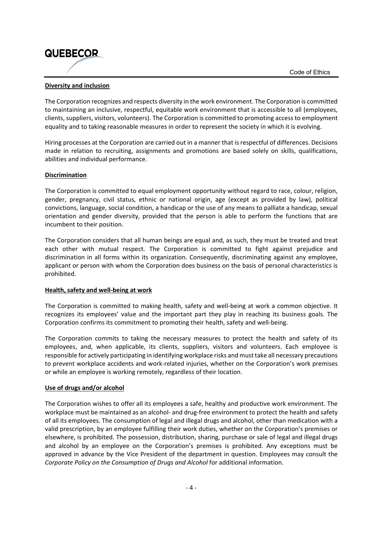

#### **Diversity and inclusion**

The Corporation recognizes and respects diversity in the work environment. The Corporation is committed to maintaining an inclusive, respectful, equitable work environment that is accessible to all (employees, clients, suppliers, visitors, volunteers). The Corporation is committed to promoting access to employment equality and to taking reasonable measures in order to represent the society in which it is evolving.

Hiring processes at the Corporation are carried out in a manner that is respectful of differences. Decisions made in relation to recruiting, assignments and promotions are based solely on skills, qualifications, abilities and individual performance.

#### **Discrimination**

The Corporation is committed to equal employment opportunity without regard to race, colour, religion, gender, pregnancy, civil status, ethnic or national origin, age (except as provided by law), political convictions, language, social condition, a handicap or the use of any means to palliate a handicap, sexual orientation and gender diversity, provided that the person is able to perform the functions that are incumbent to their position.

The Corporation considers that all human beings are equal and, as such, they must be treated and treat each other with mutual respect. The Corporation is committed to fight against prejudice and discrimination in all forms within its organization. Consequently, discriminating against any employee, applicant or person with whom the Corporation does business on the basis of personal characteristics is prohibited.

#### **Health, safety and well‐being at work**

The Corporation is committed to making health, safety and well‐being at work a common objective. It recognizes its employees' value and the important part they play in reaching its business goals. The Corporation confirms its commitment to promoting their health, safety and well‐being.

The Corporation commits to taking the necessary measures to protect the health and safety of its employees, and, when applicable, its clients, suppliers, visitors and volunteers. Each employee is responsible for actively participating in identifying workplace risks and must take all necessary precautions to prevent workplace accidents and work‐related injuries, whether on the Corporation's work premises or while an employee is working remotely, regardless of their location.

#### **Use of drugs and/or alcohol**

The Corporation wishes to offer all its employees a safe, healthy and productive work environment. The workplace must be maintained as an alcohol- and drug-free environment to protect the health and safety of all its employees. The consumption of legal and illegal drugs and alcohol, other than medication with a valid prescription, by an employee fulfilling their work duties, whether on the Corporation's premises or elsewhere, is prohibited. The possession, distribution, sharing, purchase or sale of legal and illegal drugs and alcohol by an employee on the Corporation's premises is prohibited. Any exceptions must be approved in advance by the Vice President of the department in question. Employees may consult the *Corporate Policy on the Consumption of Drugs and Alcohol* for additional information.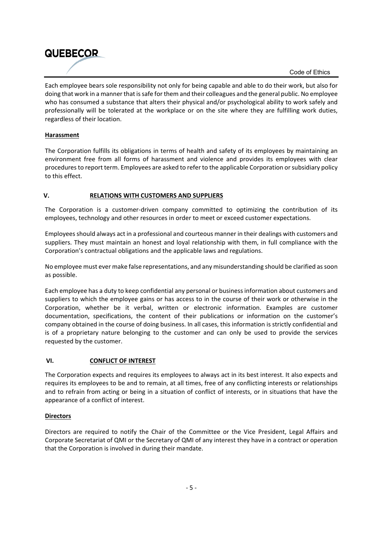Each employee bears sole responsibility not only for being capable and able to do their work, but also for doing that work in a mannerthat issafe forthem and their colleagues and the general public. No employee who has consumed a substance that alters their physical and/or psychological ability to work safely and professionally will be tolerated at the workplace or on the site where they are fulfilling work duties, regardless of their location.

#### **Harassment**

**QUEBECOR** 

The Corporation fulfills its obligations in terms of health and safety of its employees by maintaining an environment free from all forms of harassment and violence and provides its employees with clear proceduresto report term. Employees are asked to referto the applicable Corporation orsubsidiary policy to this effect.

#### **V. RELATIONS WITH CUSTOMERS AND SUPPLIERS**

The Corporation is a customer-driven company committed to optimizing the contribution of its employees, technology and other resources in order to meet or exceed customer expectations.

Employeesshould always act in a professional and courteous manner in their dealings with customers and suppliers. They must maintain an honest and loyal relationship with them, in full compliance with the Corporation's contractual obligations and the applicable laws and regulations.

No employee must ever make false representations, and any misunderstanding should be clarified assoon as possible.

Each employee has a duty to keep confidential any personal or business information about customers and suppliers to which the employee gains or has access to in the course of their work or otherwise in the Corporation, whether be it verbal, written or electronic information. Examples are customer documentation, specifications, the content of their publications or information on the customer's company obtained in the course of doing business. In all cases, this information is strictly confidential and is of a proprietary nature belonging to the customer and can only be used to provide the services requested by the customer.

#### **VI. CONFLICT OF INTEREST**

The Corporation expects and requires its employees to always act in its best interest. It also expects and requires its employees to be and to remain, at all times, free of any conflicting interests or relationships and to refrain from acting or being in a situation of conflict of interests, or in situations that have the appearance of a conflict of interest.

#### **Directors**

Directors are required to notify the Chair of the Committee or the Vice President, Legal Affairs and Corporate Secretariat of QMI or the Secretary of QMI of any interest they have in a contract or operation that the Corporation is involved in during their mandate.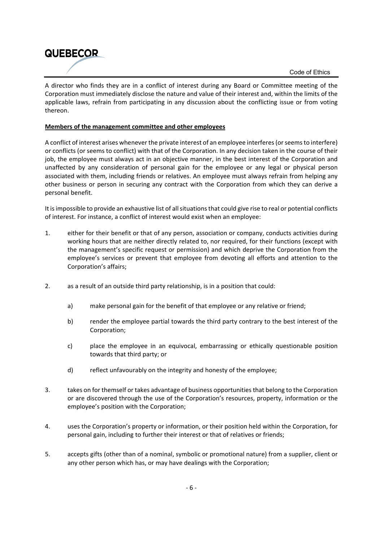A director who finds they are in a conflict of interest during any Board or Committee meeting of the Corporation must immediately disclose the nature and value of their interest and, within the limits of the applicable laws, refrain from participating in any discussion about the conflicting issue or from voting thereon.

#### **Members of the management committee and other employees**

**QUEBECOR** 

A conflict of interest arises whenever the private interest of an employee interferes(orseemsto interfere) or conflicts (or seems to conflict) with that of the Corporation. In any decision taken in the course of their job, the employee must always act in an objective manner, in the best interest of the Corporation and unaffected by any consideration of personal gain for the employee or any legal or physical person associated with them, including friends or relatives. An employee must always refrain from helping any other business or person in securing any contract with the Corporation from which they can derive a personal benefit.

It is impossible to provide an exhaustive list of all situations that could give rise to real or potential conflicts of interest. For instance, a conflict of interest would exist when an employee:

- 1. either for their benefit or that of any person, association or company, conducts activities during working hours that are neither directly related to, nor required, for their functions (except with the management's specific request or permission) and which deprive the Corporation from the employee's services or prevent that employee from devoting all efforts and attention to the Corporation's affairs;
- 2. as a result of an outside third party relationship, is in a position that could:
	- a) make personal gain for the benefit of that employee or any relative or friend;
	- b) render the employee partial towards the third party contrary to the best interest of the Corporation;
	- c) place the employee in an equivocal, embarrassing or ethically questionable position towards that third party; or
	- d) reflect unfavourably on the integrity and honesty of the employee;
- 3. takes on for themself or takes advantage of business opportunitiesthat belong to the Corporation or are discovered through the use of the Corporation's resources, property, information or the employee's position with the Corporation;
- 4. uses the Corporation's property or information, or their position held within the Corporation, for personal gain, including to further their interest or that of relatives or friends;
- 5. accepts gifts (other than of a nominal, symbolic or promotional nature) from a supplier, client or any other person which has, or may have dealings with the Corporation;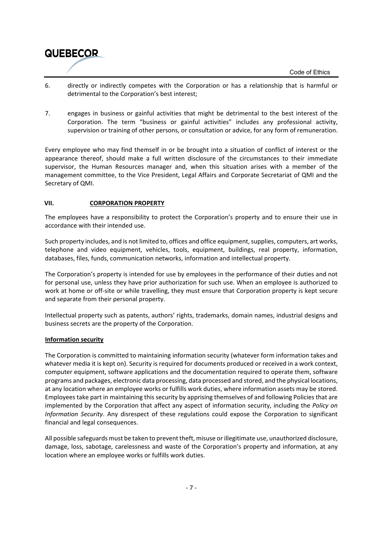

- 6. directly or indirectly competes with the Corporation or has a relationship that is harmful or detrimental to the Corporation's best interest;
- 7. engages in business or gainful activities that might be detrimental to the best interest of the Corporation. The term "business or gainful activities" includes any professional activity, supervision or training of other persons, or consultation or advice, for any form of remuneration.

Every employee who may find themself in or be brought into a situation of conflict of interest or the appearance thereof, should make a full written disclosure of the circumstances to their immediate supervisor, the Human Resources manager and, when this situation arises with a member of the management committee, to the Vice President, Legal Affairs and Corporate Secretariat of QMI and the Secretary of QMI.

#### **VII. CORPORATION PROPERTY**

The employees have a responsibility to protect the Corporation's property and to ensure their use in accordance with their intended use.

Such property includes, and is not limited to, offices and office equipment, supplies, computers, art works, telephone and video equipment, vehicles, tools, equipment, buildings, real property, information, databases, files, funds, communication networks, information and intellectual property.

The Corporation's property is intended for use by employees in the performance of their duties and not for personal use, unless they have prior authorization for such use. When an employee is authorized to work at home or off-site or while travelling, they must ensure that Corporation property is kept secure and separate from their personal property.

Intellectual property such as patents, authors' rights, trademarks, domain names, industrial designs and business secrets are the property of the Corporation.

#### **Information security**

The Corporation is committed to maintaining information security (whatever form information takes and whatever media it is kept on). Security is required for documents produced or received in a work context, computer equipment, software applications and the documentation required to operate them, software programs and packages, electronic data processing, data processed and stored, and the physical locations, at any location where an employee works or fulfills work duties, where information assets may be stored. Employees take part in maintaining this security by apprising themselves of and following Policiesthat are implemented by the Corporation that affect any aspect of information security, including the *Policy on Information Security*. Any disrespect of these regulations could expose the Corporation to significant financial and legal consequences.

All possible safeguards must be taken to prevent theft, misuse or illegitimate use, unauthorized disclosure, damage, loss, sabotage, carelessness and waste of the Corporation's property and information, at any location where an employee works or fulfills work duties.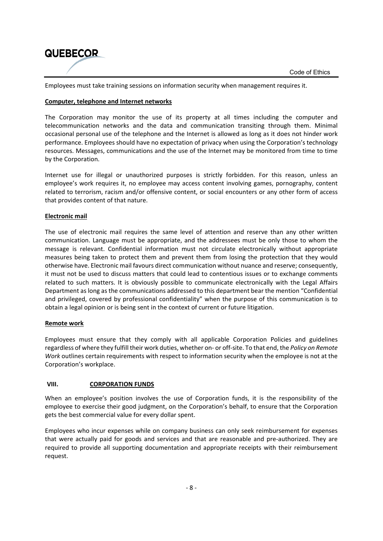

Employees must take training sessions on information security when management requires it.

#### **Computer, telephone and Internet networks**

The Corporation may monitor the use of its property at all times including the computer and telecommunication networks and the data and communication transiting through them. Minimal occasional personal use of the telephone and the Internet is allowed as long as it does not hinder work performance. Employees should have no expectation of privacy when using the Corporation's technology resources. Messages, communications and the use of the Internet may be monitored from time to time by the Corporation.

Internet use for illegal or unauthorized purposes is strictly forbidden. For this reason, unless an employee's work requires it, no employee may access content involving games, pornography, content related to terrorism, racism and/or offensive content, or social encounters or any other form of access that provides content of that nature.

#### **Electronic mail**

The use of electronic mail requires the same level of attention and reserve than any other written communication. Language must be appropriate, and the addressees must be only those to whom the message is relevant. Confidential information must not circulate electronically without appropriate measures being taken to protect them and prevent them from losing the protection that they would otherwise have. Electronic mail favours direct communication without nuance and reserve; consequently, it must not be used to discuss matters that could lead to contentious issues or to exchange comments related to such matters. It is obviously possible to communicate electronically with the Legal Affairs Department as long as the communications addressed to this department bear the mention "Confidential and privileged, covered by professional confidentiality" when the purpose of this communication is to obtain a legal opinion or is being sent in the context of current or future litigation.

#### **Remote work**

Employees must ensure that they comply with all applicable Corporation Policies and guidelines regardless of where they fulfill their work duties, whether on‐ or off‐site. To that end, the *Policy on Remote Work* outlines certain requirements with respect to information security when the employee is not at the Corporation's workplace.

#### **VIII. CORPORATION FUNDS**

When an employee's position involves the use of Corporation funds, it is the responsibility of the employee to exercise their good judgment, on the Corporation's behalf, to ensure that the Corporation gets the best commercial value for every dollar spent.

Employees who incur expenses while on company business can only seek reimbursement for expenses that were actually paid for goods and services and that are reasonable and pre‐authorized. They are required to provide all supporting documentation and appropriate receipts with their reimbursement request.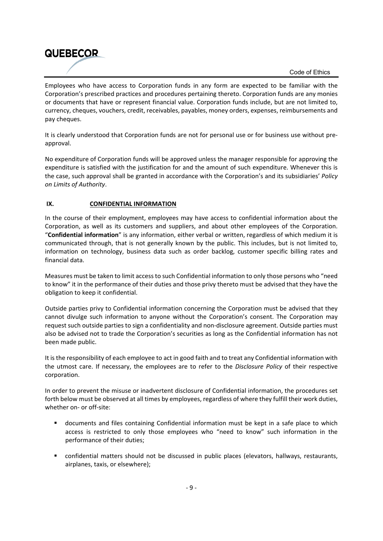Employees who have access to Corporation funds in any form are expected to be familiar with the Corporation's prescribed practices and procedures pertaining thereto. Corporation funds are any monies or documents that have or represent financial value. Corporation funds include, but are not limited to, currency, cheques, vouchers, credit, receivables, payables, money orders, expenses, reimbursements and pay cheques.

It is clearly understood that Corporation funds are not for personal use or for business use without pre‐ approval.

No expenditure of Corporation funds will be approved unless the manager responsible for approving the expenditure is satisfied with the justification for and the amount of such expenditure. Whenever this is the case, such approval shall be granted in accordance with the Corporation's and its subsidiaries' *Policy on Limits of Authority*.

#### **IX. CONFIDENTIAL INFORMATION**

**QUEBECOR** 

In the course of their employment, employees may have access to confidential information about the Corporation, as well as its customers and suppliers, and about other employees of the Corporation. "**Confidential information**" is any information, either verbal or written, regardless of which medium it is communicated through, that is not generally known by the public. This includes, but is not limited to, information on technology, business data such as order backlog, customer specific billing rates and financial data.

Measures must be taken to limit accessto such Confidential information to only those persons who "need to know" it in the performance of their duties and those privy thereto must be advised that they have the obligation to keep it confidential.

Outside parties privy to Confidential information concerning the Corporation must be advised that they cannot divulge such information to anyone without the Corporation's consent. The Corporation may request such outside parties to sign a confidentiality and non‐disclosure agreement. Outside parties must also be advised not to trade the Corporation's securities as long as the Confidential information has not been made public.

It is the responsibility of each employee to act in good faith and to treat any Confidential information with the utmost care. If necessary, the employees are to refer to the *Disclosure Policy* of their respective corporation.

In order to prevent the misuse or inadvertent disclosure of Confidential information, the procedures set forth below must be observed at all times by employees, regardless of where they fulfill their work duties, whether on- or off-site:

- documents and files containing Confidential information must be kept in a safe place to which access is restricted to only those employees who "need to know" such information in the performance of their duties;
- confidential matters should not be discussed in public places (elevators, hallways, restaurants, airplanes, taxis, or elsewhere);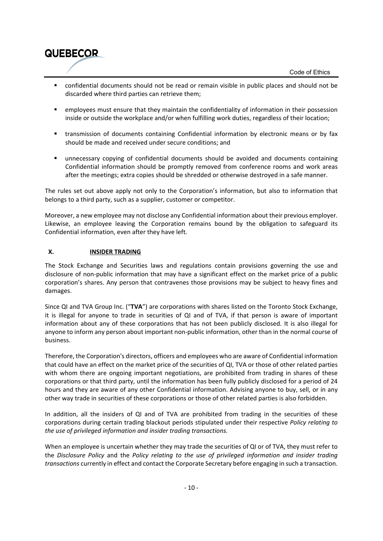- confidential documents should not be read or remain visible in public places and should not be discarded where third parties can retrieve them;
- employees must ensure that they maintain the confidentiality of information in their possession inside or outside the workplace and/or when fulfilling work duties, regardless of their location;
- transmission of documents containing Confidential information by electronic means or by fax should be made and received under secure conditions; and
- unnecessary copying of confidential documents should be avoided and documents containing Confidential information should be promptly removed from conference rooms and work areas after the meetings; extra copies should be shredded or otherwise destroyed in a safe manner.

The rules set out above apply not only to the Corporation's information, but also to information that belongs to a third party, such as a supplier, customer or competitor.

Moreover, a new employee may not disclose any Confidential information about their previous employer. Likewise, an employee leaving the Corporation remains bound by the obligation to safeguard its Confidential information, even after they have left.

#### **X. INSIDER TRADING**

The Stock Exchange and Securities laws and regulations contain provisions governing the use and disclosure of non‐public information that may have a significant effect on the market price of a public corporation's shares. Any person that contravenes those provisions may be subject to heavy fines and damages.

Since QI and TVA Group Inc. ("**TVA**") are corporations with shares listed on the Toronto Stock Exchange, it is illegal for anyone to trade in securities of QI and of TVA, if that person is aware of important information about any of these corporations that has not been publicly disclosed. It is also illegal for anyone to inform any person about important non-public information, other than in the normal course of business.

Therefore, the Corporation's directors, officers and employees who are aware of Confidential information that could have an effect on the market price of the securities of QI, TVA or those of other related parties with whom there are ongoing important negotiations, are prohibited from trading in shares of these corporations or that third party, until the information has been fully publicly disclosed for a period of 24 hours and they are aware of any other Confidential information. Advising anyone to buy, sell, or in any other way trade in securities of these corporations or those of other related parties is also forbidden.

In addition, all the insiders of QI and of TVA are prohibited from trading in the securities of these corporations during certain trading blackout periods stipulated under their respective *Policy relating to the use of privileged information and insider trading transactions.* 

When an employee is uncertain whether they may trade the securities of QI or of TVA, they must refer to the *Disclosure Policy* and the *Policy relating to the use of privileged information and insider trading transactions* currently in effect and contact the Corporate Secretary before engaging in such a transaction.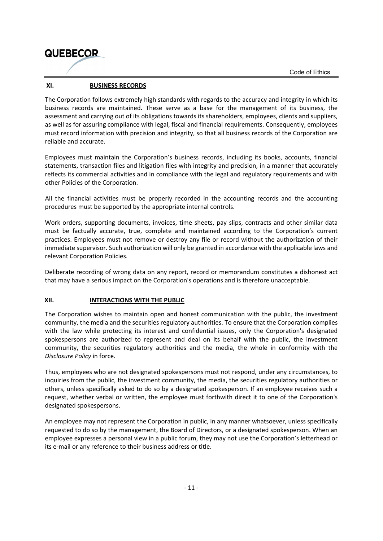# **QUEBECOR**

Code of Ethics

#### **XI. BUSINESS RECORDS**

The Corporation follows extremely high standards with regards to the accuracy and integrity in which its business records are maintained. These serve as a base for the management of its business, the assessment and carrying out of its obligations towards its shareholders, employees, clients and suppliers, as well as for assuring compliance with legal, fiscal and financial requirements. Consequently, employees must record information with precision and integrity, so that all business records of the Corporation are reliable and accurate.

Employees must maintain the Corporation's business records, including its books, accounts, financial statements, transaction files and litigation files with integrity and precision, in a manner that accurately reflects its commercial activities and in compliance with the legal and regulatory requirements and with other Policies of the Corporation.

All the financial activities must be properly recorded in the accounting records and the accounting procedures must be supported by the appropriate internal controls.

Work orders, supporting documents, invoices, time sheets, pay slips, contracts and other similar data must be factually accurate, true, complete and maintained according to the Corporation's current practices. Employees must not remove or destroy any file or record without the authorization of their immediate supervisor. Such authorization will only be granted in accordance with the applicable laws and relevant Corporation Policies.

Deliberate recording of wrong data on any report, record or memorandum constitutes a dishonest act that may have a serious impact on the Corporation's operations and is therefore unacceptable.

#### **XII. INTERACTIONS WITH THE PUBLIC**

The Corporation wishes to maintain open and honest communication with the public, the investment community, the media and the securities regulatory authorities. To ensure that the Corporation complies with the law while protecting its interest and confidential issues, only the Corporation's designated spokespersons are authorized to represent and deal on its behalf with the public, the investment community, the securities regulatory authorities and the media, the whole in conformity with the *Disclosure Policy* in force*.*

Thus, employees who are not designated spokespersons must not respond, under any circumstances, to inquiries from the public, the investment community, the media, the securities regulatory authorities or others, unless specifically asked to do so by a designated spokesperson. If an employee receives such a request, whether verbal or written, the employee must forthwith direct it to one of the Corporation's designated spokespersons.

An employee may not represent the Corporation in public, in any manner whatsoever, unless specifically requested to do so by the management, the Board of Directors, or a designated spokesperson. When an employee expresses a personal view in a public forum, they may not use the Corporation's letterhead or its e‐mail or any reference to their business address or title.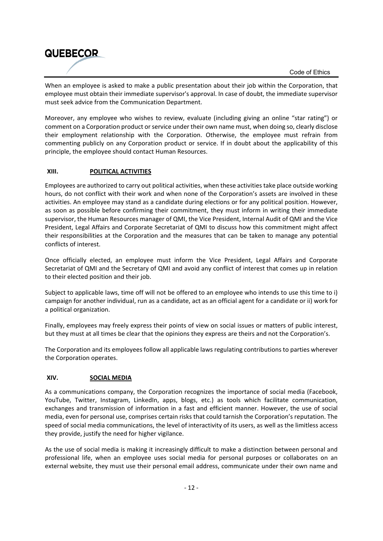When an employee is asked to make a public presentation about their job within the Corporation, that employee must obtain their immediate supervisor's approval. In case of doubt, the immediate supervisor must seek advice from the Communication Department.

Moreover, any employee who wishes to review, evaluate (including giving an online "star rating") or comment on a Corporation product or service under their own name must, when doing so, clearly disclose their employment relationship with the Corporation. Otherwise, the employee must refrain from commenting publicly on any Corporation product or service. If in doubt about the applicability of this principle, the employee should contact Human Resources.

#### **XIII. POLITICAL ACTIVITIES**

**QUEBECOR** 

Employees are authorized to carry out political activities, when these activities take place outside working hours, do not conflict with their work and when none of the Corporation's assets are involved in these activities. An employee may stand as a candidate during elections or for any political position. However, as soon as possible before confirming their commitment, they must inform in writing their immediate supervisor, the Human Resources manager of QMI, the Vice President, Internal Audit of QMI and the Vice President, Legal Affairs and Corporate Secretariat of QMI to discuss how this commitment might affect their responsibilities at the Corporation and the measures that can be taken to manage any potential conflicts of interest.

Once officially elected, an employee must inform the Vice President, Legal Affairs and Corporate Secretariat of QMI and the Secretary of QMI and avoid any conflict of interest that comes up in relation to their elected position and their job.

Subject to applicable laws, time off will not be offered to an employee who intends to use this time to i) campaign for another individual, run as a candidate, act as an official agent for a candidate or ii) work for a political organization.

Finally, employees may freely express their points of view on social issues or matters of public interest, but they must at all times be clear that the opinions they express are theirs and not the Corporation's.

The Corporation and its employees follow all applicable laws regulating contributions to parties wherever the Corporation operates.

#### **XIV. SOCIAL MEDIA**

As a communications company, the Corporation recognizes the importance of social media (Facebook, YouTube, Twitter, Instagram, LinkedIn, apps, blogs, etc.) as tools which facilitate communication, exchanges and transmission of information in a fast and efficient manner. However, the use of social media, even for personal use, comprises certain risks that could tarnish the Corporation's reputation. The speed of social media communications, the level of interactivity of its users, as well as the limitless access they provide, justify the need for higher vigilance.

As the use of social media is making it increasingly difficult to make a distinction between personal and professional life, when an employee uses social media for personal purposes or collaborates on an external website, they must use their personal email address, communicate under their own name and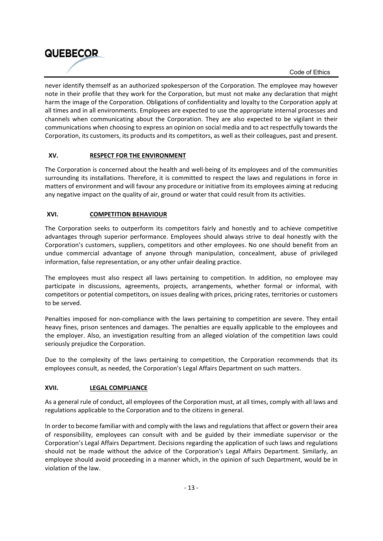### **QUEBECOR**

Code of Ethics

never identify themself as an authorized spokesperson of the Corporation. The employee may however note in their profile that they work for the Corporation, but must not make any declaration that might harm the image of the Corporation. Obligations of confidentiality and loyalty to the Corporation apply at all times and in all environments. Employees are expected to use the appropriate internal processes and channels when communicating about the Corporation. They are also expected to be vigilant in their communications when choosing to express an opinion on social media and to act respectfully towards the Corporation, its customers, its products and its competitors, as well as their colleagues, past and present.

#### **XV. RESPECT FOR THE ENVIRONMENT**

The Corporation is concerned about the health and well‐being of its employees and of the communities surrounding its installations. Therefore, it is committed to respect the laws and regulations in force in matters of environment and will favour any procedure or initiative from its employees aiming at reducing any negative impact on the quality of air, ground or water that could result from its activities.

#### **XVI. COMPETITION BEHAVIOUR**

The Corporation seeks to outperform its competitors fairly and honestly and to achieve competitive advantages through superior performance. Employees should always strive to deal honestly with the Corporation's customers, suppliers, competitors and other employees. No one should benefit from an undue commercial advantage of anyone through manipulation, concealment, abuse of privileged information, false representation, or any other unfair dealing practice.

The employees must also respect all laws pertaining to competition. In addition, no employee may participate in discussions, agreements, projects, arrangements, whether formal or informal, with competitors or potential competitors, on issues dealing with prices, pricing rates, territories or customers to be served.

Penalties imposed for non-compliance with the laws pertaining to competition are severe. They entail heavy fines, prison sentences and damages. The penalties are equally applicable to the employees and the employer. Also, an investigation resulting from an alleged violation of the competition laws could seriously prejudice the Corporation.

Due to the complexity of the laws pertaining to competition, the Corporation recommends that its employees consult, as needed, the Corporation's Legal Affairs Department on such matters.

#### **XVII. LEGAL COMPLIANCE**

As a general rule of conduct, all employees of the Corporation must, at all times, comply with all laws and regulations applicable to the Corporation and to the citizens in general.

In order to become familiar with and comply with the laws and regulationsthat affect or govern their area of responsibility, employees can consult with and be guided by their immediate supervisor or the Corporation's Legal Affairs Department. Decisions regarding the application of such laws and regulations should not be made without the advice of the Corporation's Legal Affairs Department. Similarly, an employee should avoid proceeding in a manner which, in the opinion of such Department, would be in violation of the law.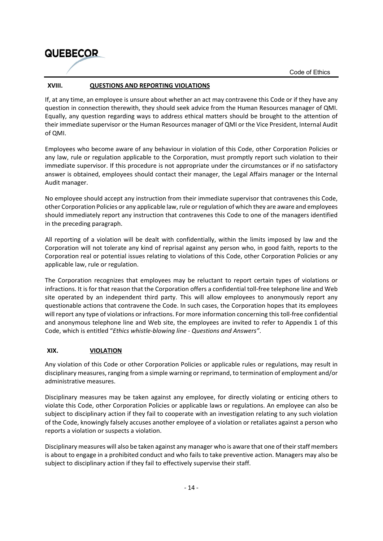## **QUEBECOR**

Code of Ethics

#### **XVIII. QUESTIONS AND REPORTING VIOLATIONS**

If, at any time, an employee is unsure about whether an act may contravene this Code or if they have any question in connection therewith, they should seek advice from the Human Resources manager of QMI. Equally, any question regarding ways to address ethical matters should be brought to the attention of their immediate supervisor or the Human Resources manager of QMI or the Vice President, Internal Audit of QMI.

Employees who become aware of any behaviour in violation of this Code, other Corporation Policies or any law, rule or regulation applicable to the Corporation, must promptly report such violation to their immediate supervisor. If this procedure is not appropriate under the circumstances or if no satisfactory answer is obtained, employees should contact their manager, the Legal Affairs manager or the Internal Audit manager.

No employee should accept any instruction from their immediate supervisor that contravenes this Code, other Corporation Policies or any applicable law, rule or regulation of which they are aware and employees should immediately report any instruction that contravenes this Code to one of the managers identified in the preceding paragraph.

All reporting of a violation will be dealt with confidentially, within the limits imposed by law and the Corporation will not tolerate any kind of reprisal against any person who, in good faith, reports to the Corporation real or potential issues relating to violations of this Code, other Corporation Policies or any applicable law, rule or regulation.

The Corporation recognizes that employees may be reluctant to report certain types of violations or infractions. It is for that reason that the Corporation offers a confidential toll‐free telephone line and Web site operated by an independent third party. This will allow employees to anonymously report any questionable actions that contravene the Code. In such cases, the Corporation hopes that its employees will report any type of violations or infractions. For more information concerning thistoll‐free confidential and anonymous telephone line and Web site, the employees are invited to refer to Appendix 1 of this Code, which is entitled "*Ethics whistle‐blowing line ‐ Questions and Answers"*.

#### **XIX. VIOLATION**

Any violation of this Code or other Corporation Policies or applicable rules or regulations, may result in disciplinary measures, ranging from a simple warning or reprimand, to termination of employment and/or administrative measures.

Disciplinary measures may be taken against any employee, for directly violating or enticing others to violate this Code, other Corporation Policies or applicable laws or regulations. An employee can also be subject to disciplinary action if they fail to cooperate with an investigation relating to any such violation of the Code, knowingly falsely accuses another employee of a violation or retaliates against a person who reports a violation or suspects a violation.

Disciplinary measures will also be taken against any manager who is aware that one of their staff members is about to engage in a prohibited conduct and who fails to take preventive action. Managers may also be subject to disciplinary action if they fail to effectively supervise their staff.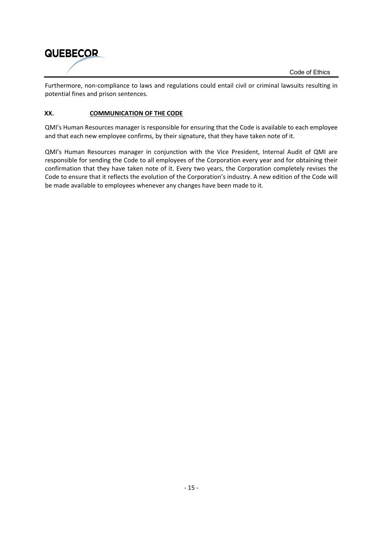

Furthermore, non-compliance to laws and regulations could entail civil or criminal lawsuits resulting in potential fines and prison sentences.

#### **XX. COMMUNICATION OF THE CODE**

QMI's Human Resources manager is responsible for ensuring that the Code is available to each employee and that each new employee confirms, by their signature, that they have taken note of it.

QMI's Human Resources manager in conjunction with the Vice President, Internal Audit of QMI are responsible for sending the Code to all employees of the Corporation every year and for obtaining their confirmation that they have taken note of it. Every two years, the Corporation completely revises the Code to ensure that it reflects the evolution of the Corporation's industry. A new edition of the Code will be made available to employees whenever any changes have been made to it.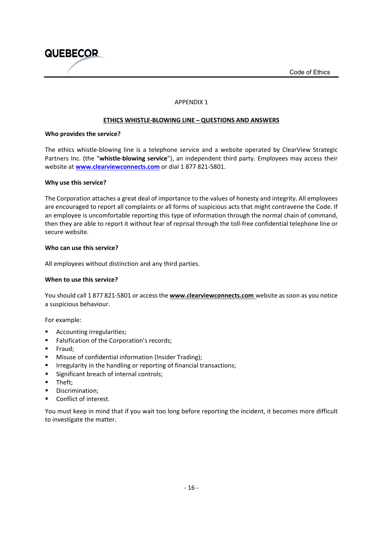

#### APPENDIX 1

#### **ETHICS WHISTLE‐BLOWING LINE ̶ QUESTIONS AND ANSWERS**

#### **Who provides the service?**

The ethics whistle‐blowing line is a telephone service and a website operated by ClearView Strategic Partners Inc. (the "**whistle‐blowing service**"), an independent third party. Employees may access their website at **www.clearviewconnects.com** or dial 1 877 821‐5801.

#### **Why use this service?**

The Corporation attaches a great deal of importance to the values of honesty and integrity. All employees are encouraged to report all complaints or all forms of suspicious acts that might contravene the Code. If an employee is uncomfortable reporting this type of information through the normal chain of command, then they are able to report it without fear of reprisal through the toll‐free confidential telephone line or secure website.

#### **Who can use this service?**

All employees without distinction and any third parties.

#### **When to use this service?**

You should call 1 877 821‐5801 or access the **www.clearviewconnects.com** website as soon as you notice a suspicious behaviour.

For example:

- Accounting irregularities;
- **Falsification of the Corporation's records;**
- **Fraud:**
- **Misuse of confidential information (Insider Trading);**
- **IFFE** Irregularity in the handling or reporting of financial transactions;
- **Significant breach of internal controls;**
- **Theft:**
- **•** Discrimination:
- Conflict of interest.

You must keep in mind that if you wait too long before reporting the incident, it becomes more difficult to investigate the matter.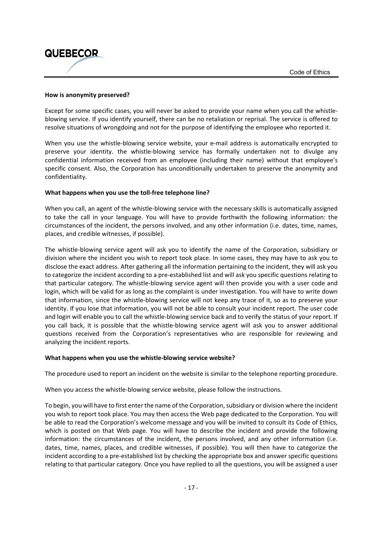

#### **How is anonymity preserved?**

Except for some specific cases, you will never be asked to provide your name when you call the whistle‐ blowing service. If you identify yourself, there can be no retaliation or reprisal. The service is offered to resolve situations of wrongdoing and not for the purpose of identifying the employee who reported it.

When you use the whistle-blowing service website, your e-mail address is automatically encrypted to preserve your identity. the whistle‐blowing service has formally undertaken not to divulge any confidential information received from an employee (including their name) without that employee's specific consent. Also, the Corporation has unconditionally undertaken to preserve the anonymity and confidentiality.

#### **What happens when you use the toll‐free telephone line?**

When you call, an agent of the whistle-blowing service with the necessary skills is automatically assigned to take the call in your language. You will have to provide forthwith the following information: the circumstances of the incident, the persons involved, and any other information (i.e. dates, time, names, places, and credible witnesses, if possible).

The whistle‐blowing service agent will ask you to identify the name of the Corporation, subsidiary or division where the incident you wish to report took place. In some cases, they may have to ask you to disclose the exact address. After gathering all the information pertaining to the incident, they will ask you to categorize the incident according to a pre‐established list and will ask you specific questions relating to that particular category. The whistle‐blowing service agent will then provide you with a user code and login, which will be valid for as long as the complaint is under investigation. You will have to write down that information, since the whistle‐blowing service will not keep any trace of it, so as to preserve your identity. If you lose that information, you will not be able to consult your incident report. The user code and login will enable you to call the whistle-blowing service back and to verify the status of your report. If you call back, it is possible that the whistle‐blowing service agent will ask you to answer additional questions received from the Corporation's representatives who are responsible for reviewing and analyzing the incident reports.

#### **What happens when you use the whistle‐blowing service website?**

The procedure used to report an incident on the website is similar to the telephone reporting procedure.

When you access the whistle‐blowing service website, please follow the instructions.

To begin, you will have to first enter the name of the Corporation, subsidiary or division where the incident you wish to report took place. You may then access the Web page dedicated to the Corporation. You will be able to read the Corporation's welcome message and you will be invited to consult its Code of Ethics, which is posted on that Web page. You will have to describe the incident and provide the following information: the circumstances of the incident, the persons involved, and any other information (i.e. dates, time, names, places, and credible witnesses, if possible). You will then have to categorize the incident according to a pre‐established list by checking the appropriate box and answer specific questions relating to that particular category. Once you have replied to all the questions, you will be assigned a user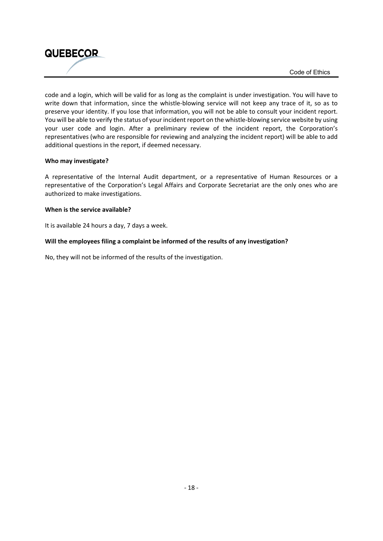

code and a login, which will be valid for as long as the complaint is under investigation. You will have to write down that information, since the whistle-blowing service will not keep any trace of it, so as to preserve your identity. If you lose that information, you will not be able to consult your incident report. You will be able to verify the status of your incident report on the whistle-blowing service website by using your user code and login. After a preliminary review of the incident report, the Corporation's representatives (who are responsible for reviewing and analyzing the incident report) will be able to add additional questions in the report, if deemed necessary.

#### **Who may investigate?**

A representative of the Internal Audit department, or a representative of Human Resources or a representative of the Corporation's Legal Affairs and Corporate Secretariat are the only ones who are authorized to make investigations.

#### **When is the service available?**

It is available 24 hours a day, 7 days a week.

#### **Will the employees filing a complaint be informed of the results of any investigation?**

No, they will not be informed of the results of the investigation.